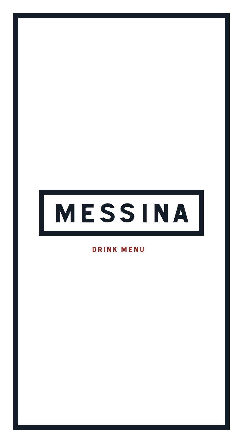# MESSINA

**DRINK MENU**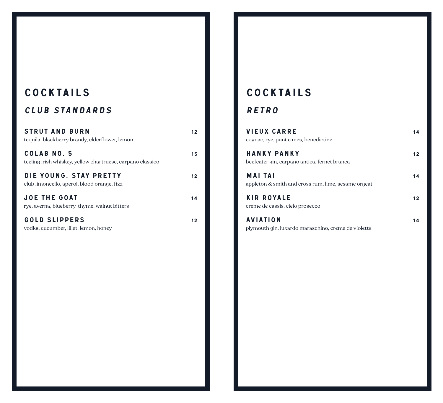## COCKTAILS

### Club standards

| <b>STRUT AND BURN</b><br>tequila, blackberry brandy, elderflower, lemon   | 12. |
|---------------------------------------------------------------------------|-----|
| COLAB NO. 5<br>teeling irish whiskey, yellow chartruese, carpano classico | 15  |
| DIE YOUNG, STAY PRETTY<br>club limoncello, aperol, blood orange, fizz     | 12. |
| <b>JOE THE GOAT</b><br>rye, averna, blueberry-thyme, walnut bitters       | 14  |
| <b>GOLD SLIPPERS</b>                                                      |     |

vodka, cucumber, lillet, lemon, honey

## COCKTAILS

#### **RETRO**

| <b>VIEUX CARRE</b><br>cognac, rye, punt e mes, benedictine             | 14 |
|------------------------------------------------------------------------|----|
| <b>HANKY PANKY</b><br>beefeater gin, carpano antica, fernet branca     | 12 |
| <b>MAI TAI</b><br>appleton & smith and cross rum, lime, sesame orgeat  |    |
| <b>KIR ROYALE</b><br>creme de cassis, cielo prosecco                   | 12 |
| <b>AVIATION</b><br>plymouth gin, luxardo maraschino, creme de violette |    |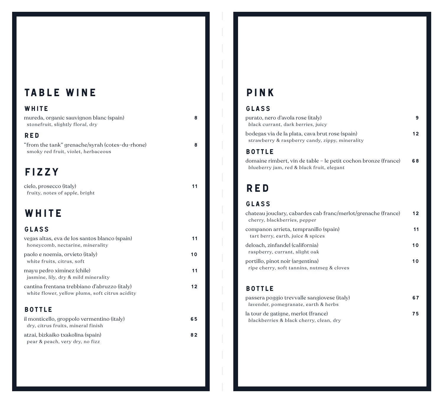## TABLE WINE

#### WHITE

| mureda, organic sauvignon blanc (spain)<br>stonefruit, slightly floral, dry            | 8 |
|----------------------------------------------------------------------------------------|---|
| <b>RED</b>                                                                             |   |
| "from the tank" grenache/syrah (cotes-du-rhone)<br>smoky red fruit, violet, herbaceous | я |
|                                                                                        |   |

## FIZZY

cielo, prosecco (italy) 11 fruity, notes of apple, bright

## WHITE

#### GlasS

| vegas altas, eva de los santos blanco (spain)<br>honeycomb, nectarine, minerality               | 11  |
|-------------------------------------------------------------------------------------------------|-----|
| paolo e noemia, orvieto (italy)<br>white fruits, citrus, soft                                   | 10  |
| mayu pedro ximinez (chile)<br>jasmine, lily, dry & mild minerality                              | 11  |
| cantina frentana trebbiano d'abruzzo (italy)<br>white flower, yellow plums, soft citrus acidity | 12. |
| <b>BOTTLE</b>                                                                                   |     |
| il monticello, groppolo vermentino (italy)<br>dry, citrus fruits, mineral finish                | 65  |
| atzai bizkaiko tvakolina (apain)                                                                | ៰៱  |

atzai, bizkaiko txakolina (spain) 82 pear & peach, very dry, no fizz

## PINK

#### Glass

| 12 |
|----|
|    |
|    |

domaine rimbert, vin de table – le petit cochon bronze (france) 68 blueberry jam, red & black fruit, elegant

## RED

#### GlasS

| chateau jouclary, cabardes cab franc/merlot/grenache (france)<br>cherry, blackberries, pepper | 12  |
|-----------------------------------------------------------------------------------------------|-----|
| companon arrieta, tempranillo (spain)<br>tart berry, earth, juice & spices                    | 11  |
| deloach, zinfandel (california)<br>raspberry, currant, slight oak                             | 10  |
| portillo, pinot noir (argentina)<br>ripe cherry, soft tannins, nutmeg & cloves                | 1 ດ |

#### Bottle

| passera poggio trevvalle sangiovese (italy) | 67 |
|---------------------------------------------|----|
| lavender, pomegranate, earth & herbs        |    |
| la tour de gatigne, merlot (france)         | 75 |
| blackberries & black cherry, clean, dry     |    |